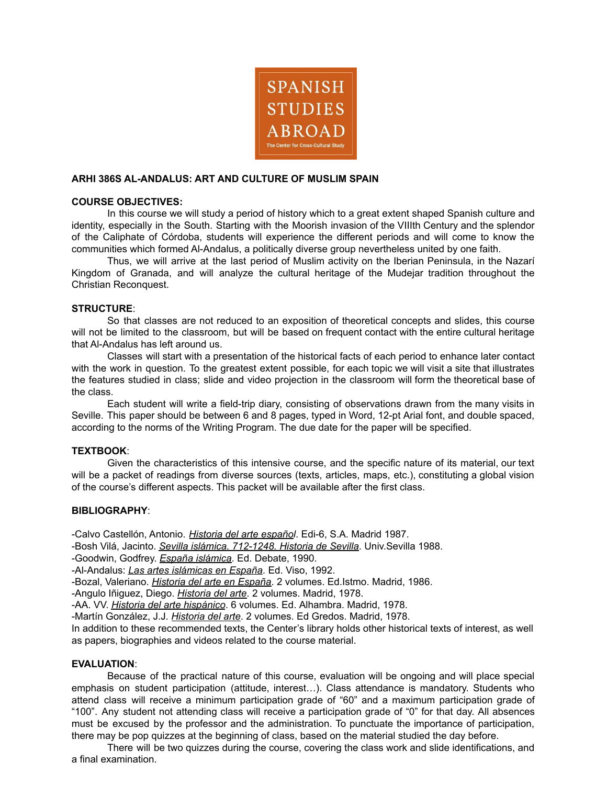

## **ARHI 386S AL-ANDALUS: ART AND CULTURE OF MUSLIM SPAIN**

## **COURSE OBJECTIVES:**

In this course we will study a period of history which to a great extent shaped Spanish culture and identity, especially in the South. Starting with the Moorish invasion of the VIIIth Century and the splendor of the Caliphate of Córdoba, students will experience the different periods and will come to know the communities which formed Al-Andalus, a politically diverse group nevertheless united by one faith.

Thus, we will arrive at the last period of Muslim activity on the Iberian Peninsula, in the Nazarí Kingdom of Granada, and will analyze the cultural heritage of the Mudejar tradition throughout the Christian Reconquest.

## **STRUCTURE**:

So that classes are not reduced to an exposition of theoretical concepts and slides, this course will not be limited to the classroom, but will be based on frequent contact with the entire cultural heritage that Al-Andalus has left around us.

Classes will start with a presentation of the historical facts of each period to enhance later contact with the work in question. To the greatest extent possible, for each topic we will visit a site that illustrates the features studied in class; slide and video projection in the classroom will form the theoretical base of the class.

Each student will write a field-trip diary, consisting of observations drawn from the many visits in Seville. This paper should be between 6 and 8 pages, typed in Word, 12-pt Arial font, and double spaced, according to the norms of the Writing Program. The due date for the paper will be specified.

# **TEXTBOOK**:

Given the characteristics of this intensive course, and the specific nature of its material, our text will be a packet of readings from diverse sources (texts, articles, maps, etc.), constituting a global vision of the course's different aspects. This packet will be available after the first class.

#### **BIBLIOGRAPHY**:

-Calvo Castellón, Antonio. *Historia del arte español*. Edi-6, S.A. Madrid 1987.

-Bosh Vilá, Jacinto. *Sevilla islámica. 712-1248. Historia de Sevilla*. Univ.Sevilla 1988.

-Goodwin, Godfrey. *España islámica*. Ed. Debate, 1990.

-Al-Andalus: *Las artes islámicas en España*. Ed. Viso, 1992.

-Bozal, Valeriano. *Historia del arte en España*. 2 volumes. Ed.Istmo. Madrid, 1986.

-Angulo Iñiguez, Diego. *Historia del arte*. 2 volumes. Madrid, 1978.

-AA. VV. *Historia del arte hispánico*. 6 volumes. Ed. Alhambra. Madrid, 1978.

-Martín González, J.J. *Historia del arte*. 2 volumes. Ed Gredos. Madrid, 1978.

In addition to these recommended texts, the Center's library holds other historical texts of interest, as well as papers, biographies and videos related to the course material.

# **EVALUATION**:

Because of the practical nature of this course, evaluation will be ongoing and will place special emphasis on student participation (attitude, interest…). Class attendance is mandatory. Students who attend class will receive a minimum participation grade of "60" and a maximum participation grade of "100". Any student not attending class will receive a participation grade of "0" for that day. All absences must be excused by the professor and the administration. To punctuate the importance of participation, there may be pop quizzes at the beginning of class, based on the material studied the day before.

There will be two quizzes during the course, covering the class work and slide identifications, and a final examination.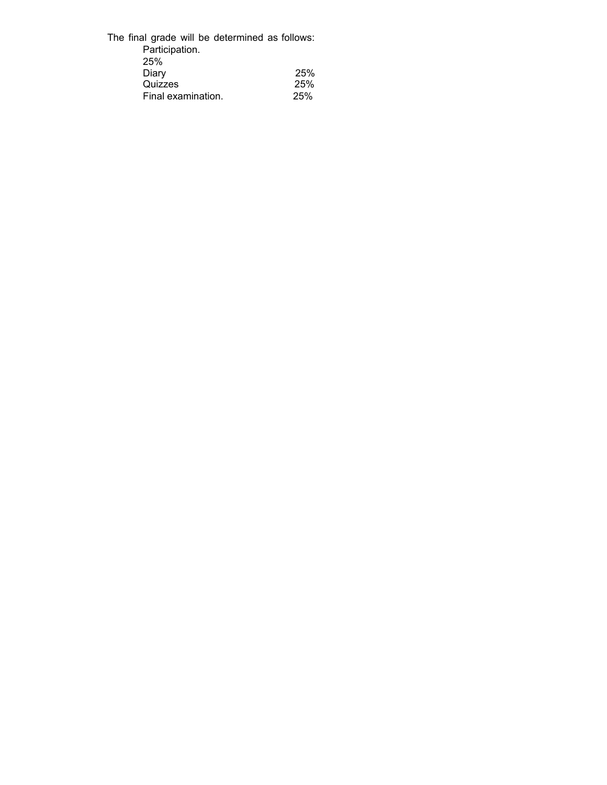| The final grade will be determined as follows: |     |
|------------------------------------------------|-----|
| Participation.                                 |     |
| 25%                                            |     |
| Diary                                          | 25% |
| Quizzes                                        | 25% |
| Final examination.                             | 25% |
|                                                |     |